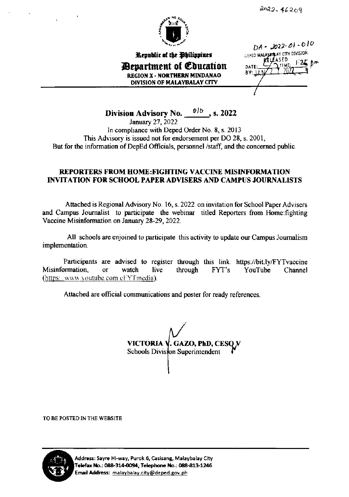

Republic of the Philippines *<u>Bepartment of Education</u>* **REGION X - NORTHERN MINDANAO** DIVISION OF MALAYBALAY CITY

 $DA - 2022 - 01 - 010$ DEPED MALAYBRIAY CITY DIVISION ASED DATE BY:

Division Advisory No. 016, s. 2022 January 27, 2022 In compliance with Deped Order No. 8, s. 2013 This Advisory is issued not for endorsement per DO 28, s. 2001, But for the information of DepEd Officials, personnel /staff, and the concerned public.

#### **REPORTERS FROM HOME: FIGHTING VACCINE MISINFORMATION INVITATION FOR SCHOOL PAPER ADVISERS AND CAMPUS JOURNALISTS**

Attached is Regional Advisory No. 16, s. 2022 on invitation for School Paper Advisers and Campus Journalist to participate the webinar titled Reporters from Home: fighting Vaccine Misinformation on January 28-29, 2022.

All schools are enjoined to participate this activity to update our Campus Journalism implementation.

Participants are advised to register through this link: https://bit.ly/FYTvaccine Misinformation, watch through YouTube  $\overline{\text{or}}$ live  $FYT's$ Channel (https://www.youtube.com/cFYTmedia).

Attached are official communications and poster for ready references.

VICTORIA V. GAZO, PhD, CESO N Schools Division Superintendent

TO BE POSTED IN THE WEBSITE



Address: Sayre Hi-way, Purok 6, Casisang, Malaybalay City Telefax No.: 088-314-0094; Telephone No.: 088-813-1246 Email Address: malaybalay.city@deped.gov.ph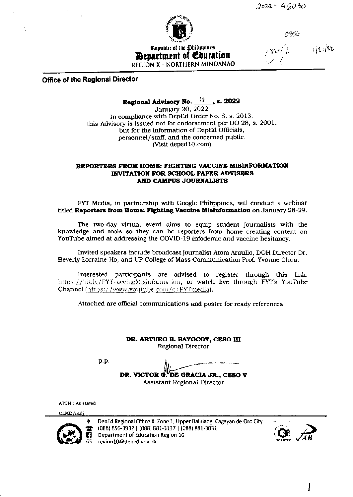

1330

Republic of the Philippines *<u>Benartment</u>* of *Coutation* REGION X - NORTHERN MINDANAO

 $1/21/22$ 

#### **Office of the Regional Director**

# Regional Advisory No.  $\frac{10}{2}$ , s. 2022

January 20, 2022 In compliance with DepEd Order No. 8, s. 2013, this Advisory is issued not for endorsement per DO 28, s. 2001, but for the information of DepEd Officials, personnel/staff, and the concerned public. (Visit deped 10.com)

#### REPORTERS FROM HOME: FIGHTING VACCINE MISINFORMATION INVITATION FOR SCHOOL PAPER ADVISERS AND CAMPUS JOURNALISTS

FYT Media, in partnership with Google Philippines, will conduct a webinar titled Reporters from Home: Fighting Vaccine Misinformation on January 28-29.

The two-day virtual event aims to equip student journalists with the knowledge and tools so they can be reporters from home creating content on YouTube aimed at addressing the COVID-19 infodemic and vaccine hesitancy.

Invited speakers include broadcast journalist Atom Araullo, DOH Director Dr. Beverly Lorraine Ho, and UP College of Mass Communication Prof. Yvonne Chua.

Interested participants are advised to register through this link: https://bit.ly/FYTvaccineMisinformation, or watch live through FYT's YouTube Channel (https://www.youtube.com/c/FYTmedia).

Attached are official communications and poster for ready references.

DR. ARTURO B. BAYOCOT, CESO III **Regional Director** 

p.p.

DR. VICTOR d. DE GRACIA JR., CESO V

**Assistant Regional Director** 

ATCH.: As stated

CLMD/radj



DepEd Regional Office X, Zone 1, Upper Balulang, Cagayan de Oro City (088) 856-3932 | (088) 881-3137 | (088) 881-3031 Department of Education Region 10 region10@deped.gov.ph



I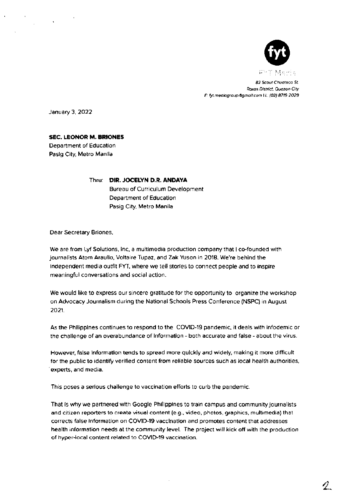

q.

82 Scout Chuatoca St. Roxas District, Quezon City E: fyt.mediagroup @gmail.com LL: (02) 8719-2029

January 3, 2022

**SEC. LEONOR M. BRIONES** 

Department of Education Pasig City, Metro Manila

> Thru: DIR. JOCELYN D.R. ANDAYA Bureau of Curriculum Development Department of Education Pasig City, Metro Manila

Dear Secretary Briones,

We are from Lyf Solutions, Inc, a multimedia production company that I co-founded with journalists Atom Araullo, Voltaire Tupaz, and Zak Yuson in 2018. We're behind the independent media outfit FYT, where we tell stories to connect people and to inspire meaningful conversations and social action.

We would like to express our sincere gratitude for the opportunity to organize the workshop on Advocacy Journalism during the National Schools Press Conference (NSPC) in August 2021.

As the Philippines continues to respond to the COVID-19 pandemic, it deals with infodemic or the challenge of an overabundance of information - both accurate and false - about the virus.

However, false information tends to spread more quickly and widely, making it more difficult for the public to identify verified content from reliable sources such as local health authorities, experts, and media.

This poses a serious challenge to vaccination efforts to curb the pandemic.

That is why we partnered with Google Philippines to train campus and community journalists and citizen reporters to create visual content (e.g., video, photos, graphics, multimedia) that corrects false information on COVID-19 vaccination and promotes content that addresses health information needs at the community level. The project will kick off with the production of hyper-local content related to COVID-19 vaccination.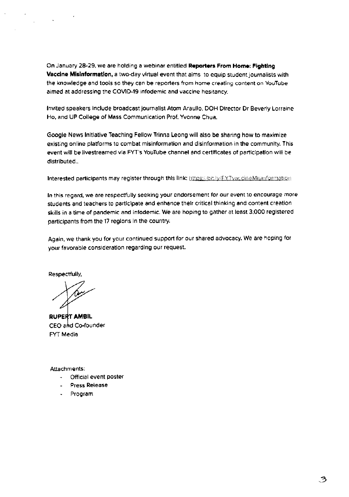On January 28-29, we are holding a webinar entitled Reporters From Home: Fighting Vaccine Misinformation, a two-day virtual event that aims to equip student journalists with the knowledge and tools so they can be reporters from home creating content on YouTube aimed at addressing the COVID-19 infodemic and vaccine hesitancy.

Invited speakers include broadcast journalist Atom Araullo, DOH Director Dr Beverly Lorraine Ho, and UP College of Mass Communication Prof. Yvonne Chua.

Google News Initiative Teaching Fellow Trinna Leong will also be sharing how to maximize existing online platforms to combat mislnformalion and disinformation in the communtty. This event will be livestreamed vla FYT's YouTube channel and certificates of participation will be distributed..

Interested participants may register through this link: https://bit.ly/FYTyaccineMisinformation

ln thls regard. we sre respectfully seeking your endorsemenl for our event to encourage more students and teachers to participate and enhance their critical thinking and content creation skills in a time of pandemic and infodemic. We are hoping to gather at least 3,000 registered participants from the 17 regions in the country.

Again, we thank you for your continued support for our shared advocacy. We are hoping for your favorable consideration regarding our request.

Respectfully,

**RUPERT AMBIL** CEO and Co-founder FYT Media

Attachments:

- Official event poster
- Press Release
- Program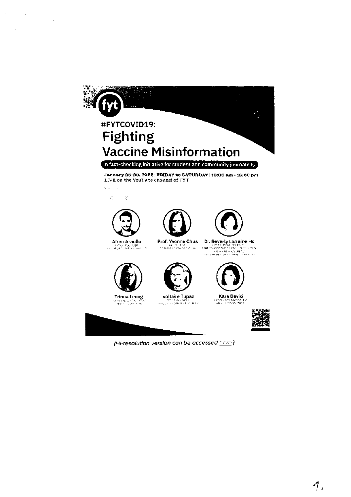

 $\sim 10^{-1}$ 

in a

 $\sim 10^7$ 

 $\label{eq:2.1} \frac{1}{\sqrt{2\pi}}\left(\frac{1}{\sqrt{2\pi}}\right)^{1/2}\frac{1}{\sqrt{2\pi}}\left(\frac{1}{\sqrt{2\pi}}\right)^{1/2}\frac{1}{\sqrt{2\pi}}\left(\frac{1}{\sqrt{2\pi}}\right)^{1/2}$ 

(Hi-resolution version can be accessed here.)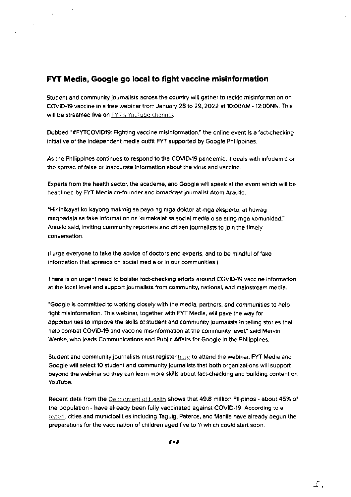### FYT Media, Google go local to fight vaccine misinformation

 $\sim 10$ 

Student and community journalists across the country will gather to tackle misinformation on COVID-19 vaccine in a free webinar from January 28 to 29, 2022 at 10:00AM - 12:00NN. This will be streamed live on EYT's YouTube channel.

Dubbed "#FYTCOVID19: Fighting vaccine misinformation," the online event is a fact-checking initiative of the Independent media outfit FYT supported by Google Philippines.

As the Philippines continues to respond to the COVID-19 pandemic, it deals with infodemic or the spread of false or inaccurate information about the virus and vaccine.

Experts from the health sector, the academe, and Google will speak at the event which will be headlined by FYT Media co-founder and broadcast journalist Atom Araullo.

"Hinihikayat ko kayong makinig sa payo ng mga doktor at mga eksperto, at huwag magpadala sa fake information na kumakalat sa social media o sa ating mga komunidad," Araullo said, inviting community reporters and citizen journalists to join the timely conversation.

(I urge everyone to take the advice of doctors and experts, and to be mindful of fake information that spreads on social media or in our communities.)

There is an urgent need to bolster fact-checking efforts around COVID-19 vaccine information at the local level and support journalists from community, national, and mainstream media.

"Google is committed to working closely with the media, partners, and communities to help fight misinformation. This webinar, together with FYT Media, will pave the way for opportunities to improve the skills of student and community journalists in telling stories that help combat COVID-19 and vaccine misinformation at the community level," said Mervin Wenke, who leads Communications and Public Affairs for Google in the Philippines.

Student and community journalists must register here to attend the webinar. FYT Media and Google will select 10 student and community journalists that both organizations will support beyond the webinar so they can learn more skills about fact-checking and building content on YouTube.

Recent data from the Department of Health shows that 49.8 million Filipinos - about 45% of the population - have already been fully vaccinated against COVID-19. According to a report, cities and municipalities including Taguig, Pateros, and Manila have already begun the preparations for the vaccination of children aged five to 11 which could start soon.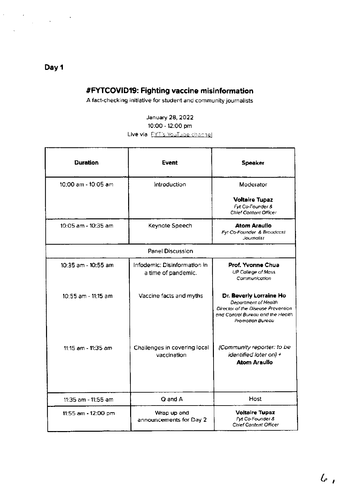# #FYTCOVID19: Fighting vaccine misinformation

A fact-checking initiative for student and community journalists

### January 28, 2022 10:00 - 12:00 pm Live via FYT's YouTube channel

| <b>Duration</b>     | Event                                               | <b>Speaker</b>                                                                                                                                 |  |
|---------------------|-----------------------------------------------------|------------------------------------------------------------------------------------------------------------------------------------------------|--|
| 10:00 am - 10:05 am | Introduction                                        | Moderator                                                                                                                                      |  |
|                     |                                                     | <b>Voltaire Tupaz</b><br>Fyt Co-Founder &<br>Chief Content Officer                                                                             |  |
| 10:05 am - 10:35 am | Keynote Speech                                      | Atom Araullo<br>Fyt Co-Founder & Broadcast<br>Journalist                                                                                       |  |
| Panel Discussion    |                                                     |                                                                                                                                                |  |
| 10:35 am - 10:55 am | Infodemic: Disinformation in<br>a time of pandemic. | Prof. Yvonne Chua<br><b>UP College of Mass</b><br>Communication                                                                                |  |
| 10:55 am - 11:15 am | Vaccine facts and myths                             | Dr. Beverly Lorraine Ho<br>Department of Health<br>Director of the Disease Prevention<br>and Control Bureau and the Health<br>Promotion Bureau |  |
| 11:15 am - 11:35 am | Challenges in covering local<br>vaccination         | (Community reporter: to be<br>identified later on) +<br><b>Atom Araulio</b>                                                                    |  |
| 11:35 am - 11:55 am | Q and A                                             | Host                                                                                                                                           |  |
| 11:55 am - 12:00 pm | Wrap up and<br>announcements for Day 2              | <b>Voltaire Tupaz</b><br>Fyt Co-Founder &<br><b>Chief Content Officer</b>                                                                      |  |

 $\iota$ 

# Day 1

 $\mathcal{L}$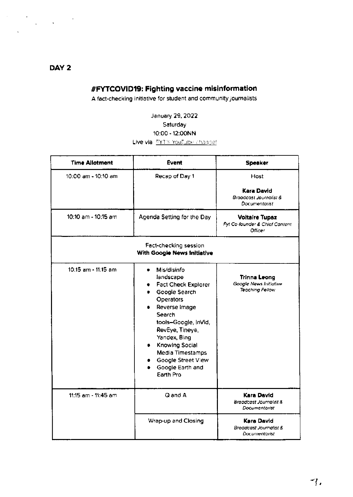### DAY<sub>2</sub>

### #FYTCOVID19: Fighting vaccine misinformation

A fact-checking initiative for student and community journalists

January 29, 2022 Saturday 10:00 - 12:00NN Live via EYT's YouTube change!

| <b>Time Allotment</b> | <b>Event</b>                                                                                                                                                                                                                                                                   | <b>Speaker</b>                                                            |
|-----------------------|--------------------------------------------------------------------------------------------------------------------------------------------------------------------------------------------------------------------------------------------------------------------------------|---------------------------------------------------------------------------|
| 10:00 am - 10:10 am   | Recap of Day 1                                                                                                                                                                                                                                                                 | Host<br>Kara David<br>Broadcast Journalist &<br>Documentarist             |
| 10:10 am - 10:15 am   | Agenda Setting for the Day                                                                                                                                                                                                                                                     | <b>Voltaire Tupaz</b><br>Fyt Co-founder & Chief Content<br><b>Officer</b> |
|                       | Fact-checking session<br>With Google News Initiative                                                                                                                                                                                                                           |                                                                           |
| 10:15 am - 11:15 am   | Mis/disinfo<br>landscape<br><b>Fact Check Explorer</b><br>Google Search<br><b>Operators</b><br>Reverse Image<br>Search<br>tools-Google, InVid,<br>RevEye, Tineye,<br>Yandex, Bing<br>Knowing Social<br>Media Timestamps<br>Google Street View<br>Google Earth and<br>Earth Pro | <b>Trinna Leong</b><br>Google News Initiative<br><b>Teaching Fellow</b>   |
| 11:15 am - 11:45 am   | Q and A                                                                                                                                                                                                                                                                        | <b>Kara David</b><br>Broadcast Journalist &<br>Documentarist              |
|                       | Wrap-up and Closing                                                                                                                                                                                                                                                            | <b>Kara David</b><br>Broadcast Journalist &<br>Documentarist              |